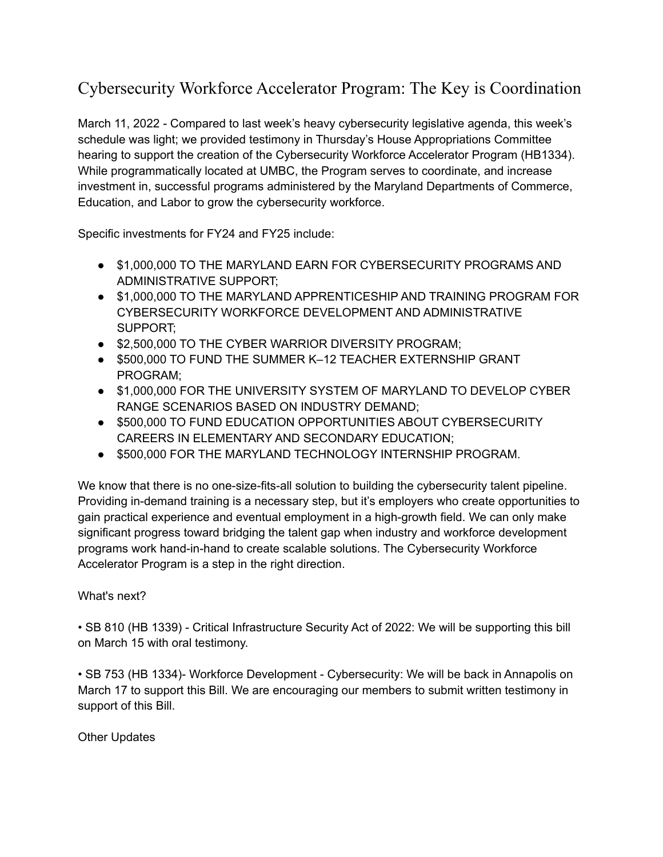## Cybersecurity Workforce Accelerator Program: The Key is Coordination

March 11, 2022 - Compared to last week's heavy cybersecurity legislative agenda, this week's schedule was light; we provided testimony in Thursday's House Appropriations Committee hearing to support the creation of the Cybersecurity Workforce Accelerator Program (HB1334). While programmatically located at UMBC, the Program serves to coordinate, and increase investment in, successful programs administered by the Maryland Departments of Commerce, Education, and Labor to grow the cybersecurity workforce.

Specific investments for FY24 and FY25 include:

- $\bullet$  \$1,000,000 TO THE MARYLAND EARN FOR CYBERSECURITY PROGRAMS AND ADMINISTRATIVE SUPPORT;
- \$1,000,000 TO THE MARYLAND APPRENTICESHIP AND TRAINING PROGRAM FOR CYBERSECURITY WORKFORCE DEVELOPMENT AND ADMINISTRATIVE SUPPORT;
- $\bullet$  \$2,500,000 TO THE CYBER WARRIOR DIVERSITY PROGRAM;
- \$500,000 TO FUND THE SUMMER K–12 TEACHER EXTERNSHIP GRANT PROGRAM;
- \$1,000,000 FOR THE UNIVERSITY SYSTEM OF MARYLAND TO DEVELOP CYBER RANGE SCENARIOS BASED ON INDUSTRY DEMAND;
- $\bullet$  \$500,000 TO FUND EDUCATION OPPORTUNITIES ABOUT CYBERSECURITY CAREERS IN ELEMENTARY AND SECONDARY EDUCATION;
- $\bullet$  \$500,000 FOR THE MARYLAND TECHNOLOGY INTERNSHIP PROGRAM.

We know that there is no one-size-fits-all solution to building the cybersecurity talent pipeline. Providing in-demand training is a necessary step, but it's employers who create opportunities to gain practical experience and eventual employment in a high-growth field. We can only make significant progress toward bridging the talent gap when industry and workforce development programs work hand-in-hand to create scalable solutions. The Cybersecurity Workforce Accelerator Program is a step in the right direction.

## What's next?

• SB 810 (HB 1339) - Critical Infrastructure Security Act of 2022: We will be supporting this bill on March 15 with oral testimony.

• SB 753 (HB 1334)- Workforce Development - Cybersecurity: We will be back in Annapolis on March 17 to support this Bill. We are encouraging our members to submit written testimony in support of this Bill.

Other Updates